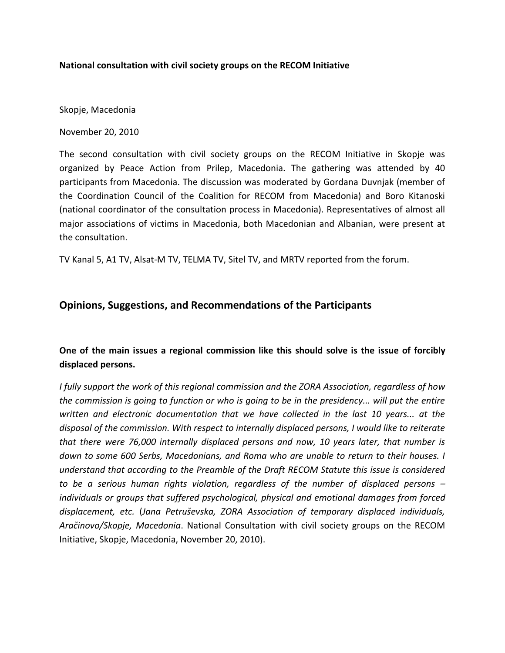## **National consultation with civil society groups on the RECOM Initiative**

Skopje, Macedonia

November 20, 2010

The second consultation with civil society groups on the RECOM Initiative in Skopje was organized by Peace Action from Prilep, Macedonia. The gathering was attended by 40 participants from Macedonia. The discussion was moderated by Gordana Duvnjak (member of the Coordination Council of the Coalition for RECOM from Macedonia) and Boro Kitanoski (national coordinator of the consultation process in Macedonia). Representatives of almost all major associations of victims in Macedonia, both Macedonian and Albanian, were present at the consultation.

TV Kanal 5, A1 TV, Alsat-M TV, TELMA TV, Sitel TV, and MRTV reported from the forum.

# **Opinions, Suggestions, and Recommendations of the Participants**

# **One of the main issues a regional commission like this should solve is the issue of forcibly displaced persons.**

*I fully support the work of this regional commission and the ZORA Association, regardless of how the commission is going to function or who is going to be in the presidency... will put the entire written and electronic documentation that we have collected in the last 10 years... at the disposal of the commission. With respect to internally displaced persons, I would like to reiterate that there were 76,000 internally displaced persons and now, 10 years later, that number is down to some 600 Serbs, Macedonians, and Roma who are unable to return to their houses. I understand that according to the Preamble of the Draft RECOM Statute this issue is considered to be a serious human rights violation, regardless of the number of displaced persons – individuals or groups that suffered psychological, physical and emotional damages from forced displacement, etc.* (*Jana Petruševska, ZORA Association of temporary displaced individuals, Aračinovo/Skopje, Macedonia*. National Consultation with civil society groups on the RECOM Initiative, Skopje, Macedonia, November 20, 2010).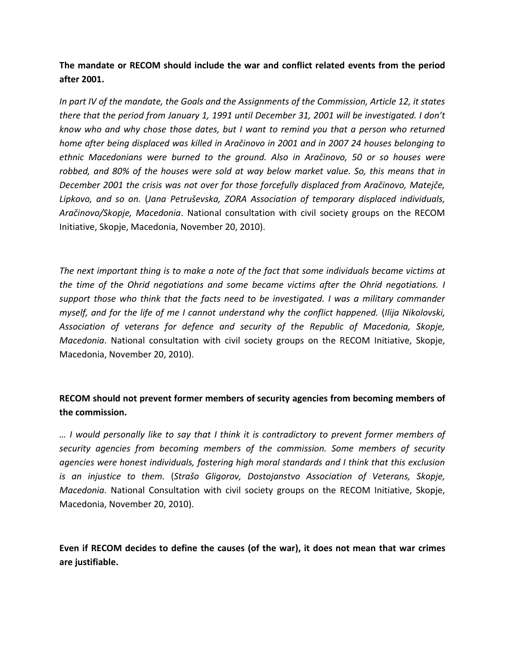**The mandate or RECOM should include the war and conflict related events from the period after 2001.**

*In part IV of the mandate, the Goals and the Assignments of the Commission, Article 12, it states there that the period from January 1, 1991 until December 31, 2001 will be investigated. I don't know who and why chose those dates, but I want to remind you that a person who returned home after being displaced was killed in Aračinovo in 2001 and in 2007 24 houses belonging to ethnic Macedonians were burned to the ground. Also in Aračinovo, 50 or so houses were robbed, and 80% of the houses were sold at way below market value. So, this means that in December 2001 the crisis was not over for those forcefully displaced from Aračinovo, Matejče, Lipkovo, and so on.* (*Jana Petruševska, ZORA Association of temporary displaced individuals, Aračinovo/Skopje, Macedonia*. National consultation with civil society groups on the RECOM Initiative, Skopje, Macedonia, November 20, 2010).

*The next important thing is to make a note of the fact that some individuals became victims at the time of the Ohrid negotiations and some became victims after the Ohrid negotiations. I support those who think that the facts need to be investigated. I was a military commander myself, and for the life of me I cannot understand why the conflict happened.* (*Ilija Nikolovski, Association of veterans for defence and security of the Republic of Macedonia, Skopje, Macedonia*. National consultation with civil society groups on the RECOM Initiative, Skopje, Macedonia, November 20, 2010).

# **RECOM should not prevent former members of security agencies from becoming members of the commission.**

*… I would personally like to say that I think it is contradictory to prevent former members of security agencies from becoming members of the commission. Some members of security agencies were honest individuals, fostering high moral standards and I think that this exclusion is an injustice to them.* (*Strašo Gligorov, Dostojanstvo Association of Veterans, Skopje, Macedonia*. National Consultation with civil society groups on the RECOM Initiative, Skopje, Macedonia, November 20, 2010).

**Even if RECOM decides to define the causes (of the war), it does not mean that war crimes are justifiable.**